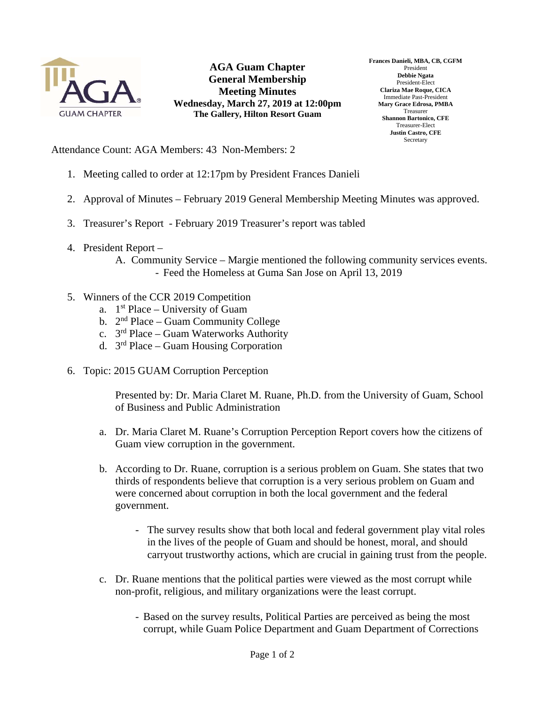

**AGA Guam Chapter General Membership Meeting Minutes Wednesday, March 27, 2019 at 12:00pm The Gallery, Hilton Resort Guam** 

**Frances Danieli, MBA, CB, CGFM**  President **Debbie Ngata**  President-Elect **Clariza Mae Roque, CICA**  Immediate Past-President **Mary Grace Edrosa, PMBA**  Treasurer **Shannon Bartonico, CFE**  Treasurer-Elect **Justin Castro, CFE Secretary** 

Attendance Count: AGA Members: 43 Non-Members: 2

- 1. Meeting called to order at 12:17pm by President Frances Danieli
- 2. Approval of Minutes February 2019 General Membership Meeting Minutes was approved.
- 3. Treasurer's Report February 2019 Treasurer's report was tabled
- 4. President Report
	- A. Community Service Margie mentioned the following community services events. - Feed the Homeless at Guma San Jose on April 13, 2019
- 5. Winners of the CCR 2019 Competition
	- a.  $1<sup>st</sup> Place University of Guam$
	- b. 2nd Place Guam Community College
	- c. 3rd Place Guam Waterworks Authority
	- d. 3rd Place Guam Housing Corporation
- 6. Topic: 2015 GUAM Corruption Perception

Presented by: Dr. Maria Claret M. Ruane, Ph.D. from the University of Guam, School of Business and Public Administration

- a. Dr. Maria Claret M. Ruane's Corruption Perception Report covers how the citizens of Guam view corruption in the government.
- b. According to Dr. Ruane, corruption is a serious problem on Guam. She states that two thirds of respondents believe that corruption is a very serious problem on Guam and were concerned about corruption in both the local government and the federal government.
	- The survey results show that both local and federal government play vital roles in the lives of the people of Guam and should be honest, moral, and should carryout trustworthy actions, which are crucial in gaining trust from the people.
- c. Dr. Ruane mentions that the political parties were viewed as the most corrupt while non-profit, religious, and military organizations were the least corrupt.
	- Based on the survey results, Political Parties are perceived as being the most corrupt, while Guam Police Department and Guam Department of Corrections